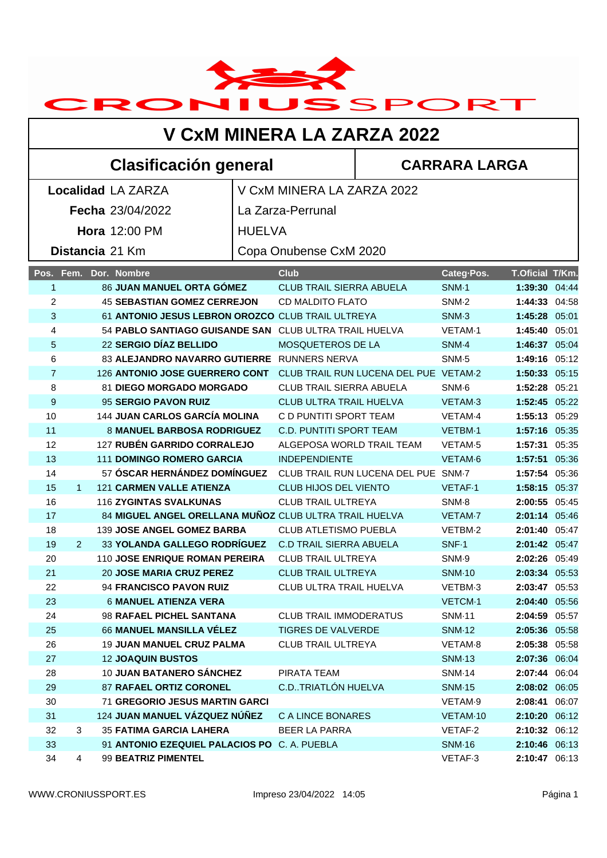

## **V CxM MINERA LA ZARZA 2022**

## **Clasificación general CARRARA LARGA**

|                  |              | <b>Localidad LA ZARZA</b>                              |               | V CxM MINERA LA ZARZA 2022            |                     |                 |  |
|------------------|--------------|--------------------------------------------------------|---------------|---------------------------------------|---------------------|-----------------|--|
| Fecha 23/04/2022 |              |                                                        |               | La Zarza-Perrunal                     |                     |                 |  |
| Hora 12:00 PM    |              |                                                        | <b>HUELVA</b> |                                       |                     |                 |  |
|                  |              |                                                        |               |                                       |                     |                 |  |
|                  |              | Distancia 21 Km                                        |               | Copa Onubense CxM 2020                |                     |                 |  |
|                  | Pos. Fem.    | Dor. Nombre                                            |               | <b>Club</b>                           | Categ-Pos.          | T.Oficial T/Km. |  |
| 1                |              | 86 JUAN MANUEL ORTA GÓMEZ                              |               | <b>CLUB TRAIL SIERRA ABUELA</b>       | <b>SNM-1</b>        | 1:39:30 04:44   |  |
| 2                |              | <b>45 SEBASTIAN GOMEZ CERREJON</b>                     |               | <b>CD MALDITO FLATO</b>               | SNM-2               | 1:44:33 04:58   |  |
| 3                |              | 61 ANTONIO JESUS LEBRON OROZCO CLUB TRAIL ULTREYA      |               |                                       | SNM-3               | 1:45:28 05:01   |  |
| 4                |              | 54 PABLO SANTIAGO GUISANDE SAN CLUB ULTRA TRAIL HUELVA |               |                                       | VETAM-1             | 1:45:40 05:01   |  |
| 5                |              | 22 SERGIO DÍAZ BELLIDO                                 |               | MOSQUETEROS DE LA                     | SNM-4               | 1:46:37 05:04   |  |
| 6                |              | 83 ALEJANDRO NAVARRO GUTIERRE RUNNERS NERVA            |               |                                       | SNM-5               | 1:49:16 05:12   |  |
| $\overline{7}$   |              | 126 ANTONIO JOSE GUERRERO CONT                         |               | CLUB TRAIL RUN LUCENA DEL PUE VETAM-2 |                     | 1:50:33 05:15   |  |
| 8                |              | <b>81 DIEGO MORGADO MORGADO</b>                        |               | CLUB TRAIL SIERRA ABUELA              | SNM-6               | 1:52:28 05:21   |  |
| 9                |              | 95 SERGIO PAVON RUIZ                                   |               | CLUB ULTRA TRAIL HUELVA               | VETAM-3             | 1:52:45 05:22   |  |
| 10               |              | <b>144 JUAN CARLOS GARCÍA MOLINA</b>                   |               | C D PUNTITI SPORT TEAM                | VETAM-4             | 1:55:13 05:29   |  |
| 11               |              | <b>8 MANUEL BARBOSA RODRIGUEZ</b>                      |               | <b>C.D. PUNTITI SPORT TEAM</b>        | VETBM-1             | 1:57:16 05:35   |  |
| 12               |              | 127 RUBÉN GARRIDO CORRALEJO                            |               | ALGEPOSA WORLD TRAIL TEAM             | VETAM <sub>·5</sub> | 1:57:31 05:35   |  |
| 13               |              | <b>111 DOMINGO ROMERO GARCIA</b>                       |               | <b>INDEPENDIENTE</b>                  | VETAM-6             | 1:57:51 05:36   |  |
| 14               |              | 57 ÓSCAR HERNÁNDEZ DOMÍNGUEZ                           |               | CLUB TRAIL RUN LUCENA DEL PUE SNM-7   |                     | 1:57:54 05:36   |  |
| 15               | $\mathbf{1}$ | <b>121 CARMEN VALLE ATIENZA</b>                        |               | <b>CLUB HIJOS DEL VIENTO</b>          | <b>VETAF-1</b>      | 1:58:15 05:37   |  |
| 16               |              | <b>116 ZYGINTAS SVALKUNAS</b>                          |               | <b>CLUB TRAIL ULTREYA</b>             | SNM-8               | 2:00:55 05:45   |  |
| 17               |              | 84 MIGUEL ANGEL ORELLANA MUÑOZ CLUB ULTRA TRAIL HUELVA |               |                                       | VETAM-7             | 2:01:14 05:46   |  |
| 18               |              | 139 JOSE ANGEL GOMEZ BARBA                             |               | CLUB ATLETISMO PUEBLA                 | VETBM-2             | 2:01:40 05:47   |  |
| 19               | 2            | 33 YOLANDA GALLEGO RODRÍGUEZ                           |               | <b>C.D TRAIL SIERRA ABUELA</b>        | SNF-1               | 2:01:42 05:47   |  |
| 20               |              | 110 JOSE ENRIQUE ROMAN PEREIRA                         |               | <b>CLUB TRAIL ULTREYA</b>             | SNM-9               | 2:02:26 05:49   |  |
| 21               |              | <b>20 JOSE MARIA CRUZ PEREZ</b>                        |               | <b>CLUB TRAIL ULTREYA</b>             | <b>SNM-10</b>       | 2:03:34 05:53   |  |
| 22               |              | 94 FRANCISCO PAVON RUIZ                                |               | CLUB ULTRA TRAIL HUELVA               | VETBM-3             | 2:03:47 05:53   |  |
| 23               |              | <b>6 MANUEL ATIENZA VERA</b>                           |               |                                       | VETCM-1             | 2:04:40 05:56   |  |
| 24               |              | 98 RAFAEL PICHEL SANTANA                               |               | <b>CLUB TRAIL IMMODERATUS</b>         | <b>SNM-11</b>       | 2:04:59 05:57   |  |
| 25               |              | 66 MANUEL MANSILLA VÉLEZ                               |               | TIGRES DE VALVERDE                    | <b>SNM-12</b>       | 2:05:36 05:58   |  |
| 26               |              | <b>19 JUAN MANUEL CRUZ PALMA</b>                       |               | <b>CLUB TRAIL ULTREYA</b>             | VETAM-8             | 2:05:38 05:58   |  |
| 27               |              | <b>12 JOAQUIN BUSTOS</b>                               |               |                                       | <b>SNM-13</b>       | 2:07:36 06:04   |  |
| 28               |              | 10 JUAN BATANERO SÁNCHEZ                               |               | PIRATA TEAM                           | <b>SNM-14</b>       | 2:07:44 06:04   |  |
| 29               |              | <b>87 RAFAEL ORTIZ CORONEL</b>                         |               | C.D. TRIATLÓN HUELVA                  | <b>SNM-15</b>       | 2:08:02 06:05   |  |
| 30               |              | <b>71 GREGORIO JESUS MARTIN GARCI</b>                  |               |                                       | VETAM-9             | 2:08:41 06:07   |  |
| 31               |              | 124 JUAN MANUEL VÁZQUEZ NÚÑEZ                          |               | <b>C A LINCE BONARES</b>              | VETAM-10            | 2:10:20 06:12   |  |
| 32               | 3            | <b>35 FATIMA GARCIA LAHERA</b>                         |               | <b>BEER LA PARRA</b>                  | VETAF-2             | 2:10:32 06:12   |  |
| 33               |              | 91 ANTONIO EZEQUIEL PALACIOS PO C. A. PUEBLA           |               |                                       | <b>SNM-16</b>       | 2:10:46 06:13   |  |
| 34               | 4            | 99 BEATRIZ PIMENTEL                                    |               |                                       | VETAF-3             | 2:10:47 06:13   |  |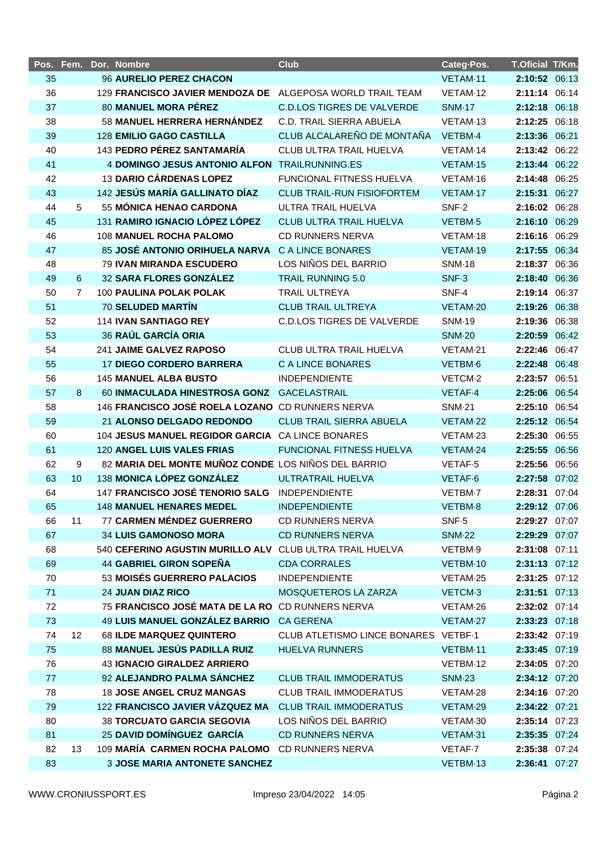|          |                 | Pos. Fem. Dor. Nombre                                         | <b>Club</b>                                 | Categ-Pos.           | T.Oficial T/Km.                |  |
|----------|-----------------|---------------------------------------------------------------|---------------------------------------------|----------------------|--------------------------------|--|
| 35       |                 | 96 AURELIO PEREZ CHACON                                       |                                             | VETAM-11             | 2:10:52 06:13                  |  |
| 36       |                 | 129 FRANCISCO JAVIER MENDOZA DE ALGEPOSA WORLD TRAIL TEAM     |                                             | VETAM-12             | 2:11:14 06:14                  |  |
| 37       |                 | 80 MANUEL MORA PÉREZ                                          | <b>C.D.LOS TIGRES DE VALVERDE</b>           | <b>SNM-17</b>        | 2:12:18 06:18                  |  |
| 38       |                 | 58 MANUEL HERRERA HERNÁNDEZ                                   | C.D. TRAIL SIERRA ABUELA                    | VETAM-13             | 2:12:25 06:18                  |  |
| 39       |                 | <b>128 EMILIO GAGO CASTILLA</b>                               | CLUB ALCALAREÑO DE MONTAÑA                  | VETBM-4              | 2:13:36 06:21                  |  |
| 40       |                 | 143 PEDRO PÉREZ SANTAMARÍA                                    | <b>CLUB ULTRA TRAIL HUELVA</b>              | VETAM-14             | 2:13:42 06:22                  |  |
| 41       |                 | <b>4 DOMINGO JESUS ANTONIO ALFON</b>                          | TRAILRUNNING.ES                             | VETAM-15             | 2:13:44 06:22                  |  |
| 42       |                 | 13 DARIO CÁRDENAS LOPEZ                                       | FUNCIONAL FITNESS HUELVA                    | VETAM-16             | 2:14:48 06:25                  |  |
| 43       |                 | 142 JESÚS MARÍA GALLINATO DÍAZ                                | <b>CLUB TRAIL-RUN FISIOFORTEM</b>           | VETAM-17             | 2:15:31 06:27                  |  |
| 44       | 5               | 55 MÓNICA HENAO CARDONA                                       | ULTRA TRAIL HUELVA                          | SNF-2                | 2:16:02 06:28                  |  |
| 45       |                 | 131 RAMIRO IGNACIO LÓPEZ LÓPEZ                                | CLUB ULTRA TRAIL HUELVA                     | VETBM-5              | 2:16:10 06:29                  |  |
| 46       |                 | <b>108 MANUEL ROCHA PALOMO</b>                                | <b>CD RUNNERS NERVA</b>                     | VETAM-18             | 2:16:16 06:29                  |  |
| 47       |                 | 85 JOSÉ ANTONIO ORIHUELA NARVA                                | <b>C A LINCE BONARES</b>                    | VETAM-19             | 2:17:55 06:34                  |  |
| 48       |                 | <b>79 IVAN MIRANDA ESCUDERO</b>                               | LOS NIÑOS DEL BARRIO                        | <b>SNM-18</b>        | 2:18:37 06:36                  |  |
| 49       | 6               | 32 SARA FLORES GONZÁLEZ                                       | <b>TRAIL RUNNING 5.0</b>                    | SNF <sub>3</sub>     | 2:18:40 06:36                  |  |
| 50       | $\overline{7}$  | 100 PAULINA POLAK POLAK                                       | <b>TRAIL ULTREYA</b>                        | SNF-4                | 2:19:14 06:37                  |  |
| 51       |                 | <b>70 SELUDED MARTÍN</b>                                      | <b>CLUB TRAIL ULTREYA</b>                   | VETAM-20             | 2:19:26 06:38                  |  |
| 52       |                 | <b>114 IVAN SANTIAGO REY</b>                                  | <b>C.D.LOS TIGRES DE VALVERDE</b>           | <b>SNM-19</b>        | 2:19:36 06:38                  |  |
| 53       |                 | 36 RAÚL GARCÍA ORIA                                           |                                             | <b>SNM-20</b>        | 2:20:59 06:42                  |  |
| 54       |                 | 241 JAIME GALVEZ RAPOSO                                       | <b>CLUB ULTRA TRAIL HUELVA</b>              | VETAM-21             | 2:22:46 06:47                  |  |
| 55       |                 | <b>17 DIEGO CORDERO BARRERA</b>                               | C A LINCE BONARES                           | VETBM-6              | 2:22:48 06:48                  |  |
| 56       |                 | <b>145 MANUEL ALBA BUSTO</b>                                  | <b>INDEPENDIENTE</b>                        | VETCM-2              | 2:23:57 06:51                  |  |
| 57       | 8               | 60 INMACULADA HINESTROSA GONZ GACELASTRAIL                    |                                             | VETAF-4              | 2:25:06 06:54                  |  |
| 58       |                 | 146 FRANCISCO JOSÉ ROELA LOZANO CD RUNNERS NERVA              |                                             | <b>SNM-21</b>        | 2:25:10 06:54                  |  |
| 59       |                 | 21 ALONSO DELGADO REDONDO                                     | <b>CLUB TRAIL SIERRA ABUELA</b>             | VETAM-22             | 2:25:12 06:54                  |  |
| 60       |                 | 104 JESUS MANUEL REGIDOR GARCIA CA LINCE BONARES              |                                             | VETAM-23             | 2:25:30 06:55                  |  |
| 61       |                 | 120 ANGEL LUIS VALES FRIAS                                    | FUNCIONAL FITNESS HUELVA                    | VETAM-24             | 2:25:55 06:56                  |  |
| 62       | 9               | 82 MARIA DEL MONTE MUÑOZ CONDE LOS NIÑOS DEL BARRIO           |                                             | VETAF-5              | 2:25:56 06:56                  |  |
| 63       | 10              | 138 MONICA LÓPEZ GONZÁLEZ                                     | ULTRATRAIL HUELVA                           | VETAF-6              | 2:27:58 07:02                  |  |
| 64       |                 | 147 FRANCISCO JOSÉ TENORIO SALG                               | <b>INDEPENDIENTE</b>                        | VETBM-7              | 2:28:31 07:04                  |  |
| 65       |                 | <b>148 MANUEL HENARES MEDEL</b>                               | <b>INDEPENDIENTE</b>                        | VETBM-8              | 2:29:12 07:06                  |  |
| 66       | 11              | 77 CARMEN MÉNDEZ GUERRERO                                     | <b>CD RUNNERS NERVA</b>                     | SNF <sub>-5</sub>    | 2:29:27 07:07                  |  |
| 67       |                 | <b>34 LUIS GAMONOSO MORA</b>                                  | <b>CD RUNNERS NERVA</b>                     | <b>SNM-22</b>        | 2:29:29 07:07                  |  |
| 68       |                 | 540 CEFERINO AGUSTIN MURILLO ALV CLUB ULTRA TRAIL HUELVA      |                                             | VETBM-9              | 2:31:08 07:11                  |  |
| 69<br>70 |                 | <b>44 GABRIEL GIRON SOPENA</b><br>53 MOISÉS GUERRERO PALACIOS | <b>CDA CORRALES</b><br><b>INDEPENDIENTE</b> | VETBM-10<br>VETAM-25 | 2:31:13 07:12<br>2:31:25 07:12 |  |
| 71       |                 | <b>24 JUAN DIAZ RICO</b>                                      | MOSQUETEROS LA ZARZA                        | VETCM <sub>3</sub>   | 2:31:51 07:13                  |  |
| 72       |                 | 75 FRANCISCO JOSÉ MATA DE LA RO CD RUNNERS NERVA              |                                             | VETAM-26             | 2:32:02 07:14                  |  |
| 73       |                 | 49 LUIS MANUEL GONZÁLEZ BARRIO CA GERENA                      |                                             | VETAM-27             | 2:33:23 07:18                  |  |
| 74       | 12 <sup>°</sup> | 68 ILDE MARQUEZ QUINTERO                                      | CLUB ATLETISMO LINCE BONARES VETBF-1        |                      | 2:33:42 07:19                  |  |
| 75       |                 | 88 MANUEL JESÚS PADILLA RUIZ                                  | <b>HUELVA RUNNERS</b>                       | VETBM-11             | 2:33:45 07:19                  |  |
| 76       |                 | <b>43 IGNACIO GIRALDEZ ARRIERO</b>                            |                                             | VETBM-12             | 2:34:05 07:20                  |  |
| 77       |                 | 92 ALEJANDRO PALMA SÁNCHEZ                                    | <b>CLUB TRAIL IMMODERATUS</b>               | <b>SNM-23</b>        | 2:34:12 07:20                  |  |
| 78       |                 | <b>18 JOSE ANGEL CRUZ MANGAS</b>                              | <b>CLUB TRAIL IMMODERATUS</b>               | VETAM-28             | 2:34:16 07:20                  |  |
| 79       |                 | 122 FRANCISCO JAVIER VÁZQUEZ MA                               | <b>CLUB TRAIL IMMODERATUS</b>               | VETAM-29             | 2:34:22 07:21                  |  |
| 80       |                 | <b>38 TORCUATO GARCIA SEGOVIA</b>                             | LOS NIÑOS DEL BARRIO                        | VETAM-30             | 2:35:14 07:23                  |  |
| 81       |                 | 25 DAVID DOMÍNGUEZ GARCÍA                                     | <b>CD RUNNERS NERVA</b>                     | VETAM-31             | 2:35:35 07:24                  |  |
| 82       | 13              | 109 MARÍA CARMEN ROCHA PALOMO                                 | CD RUNNERS NERVA                            | VETAF-7              | 2:35:38 07:24                  |  |
| 83       |                 | <b>3 JOSE MARIA ANTONETE SANCHEZ</b>                          |                                             | VETBM-13             | 2:36:41 07:27                  |  |
|          |                 |                                                               |                                             |                      |                                |  |